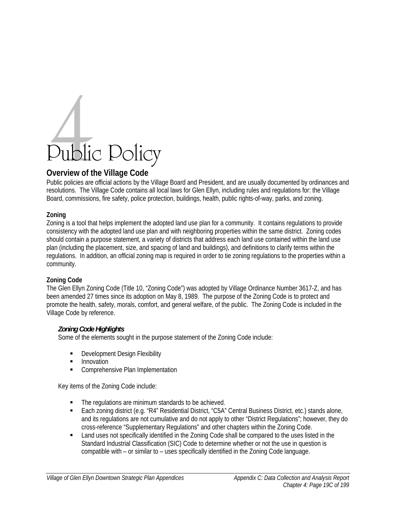# Public Policy

# **Overview of the Village Code**

Public policies are official actions by the Village Board and President, and are usually documented by ordinances and resolutions. The Village Code contains all local laws for Glen Ellyn, including rules and regulations for: the Village Board, commissions, fire safety, police protection, buildings, health, public rights-of-way, parks, and zoning.

# **Zoning**

Zoning is a tool that helps implement the adopted land use plan for a community. It contains regulations to provide consistency with the adopted land use plan and with neighboring properties within the same district. Zoning codes should contain a purpose statement, a variety of districts that address each land use contained within the land use plan (including the placement, size, and spacing of land and buildings), and definitions to clarify terms within the regulations. In addition, an official zoning map is required in order to tie zoning regulations to the properties within a community.

# **Zoning Code**

The Glen Ellyn Zoning Code (Title 10, "Zoning Code") was adopted by Village Ordinance Number 3617-Z, and has been amended 27 times since its adoption on May 8, 1989. The purpose of the Zoning Code is to protect and promote the health, safety, morals, comfort, and general welfare, of the public. The Zoning Code is included in the Village Code by reference.

# *Zoning Code Highlights*

Some of the elements sought in the purpose statement of the Zoning Code include:

- **Development Design Flexibility**
- **Innovation**
- **EXECOMPTEDENSIVE Plan Implementation**

Key items of the Zoning Code include:

- The regulations are minimum standards to be achieved.
- Each zoning district (e.g. "R4" Residential District, "C5A" Central Business District, etc.) stands alone, and its regulations are not cumulative and do not apply to other "District Regulations"; however, they do cross-reference "Supplementary Regulations" and other chapters within the Zoning Code.
- Land uses not specifically identified in the Zoning Code shall be compared to the uses listed in the Standard Industrial Classification (SIC) Code to determine whether or not the use in question is compatible with – or similar to – uses specifically identified in the Zoning Code language.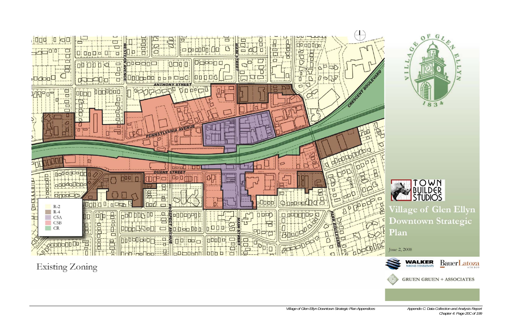

**Existing Zoning** 



*Chapter 4: Page 20C of 199*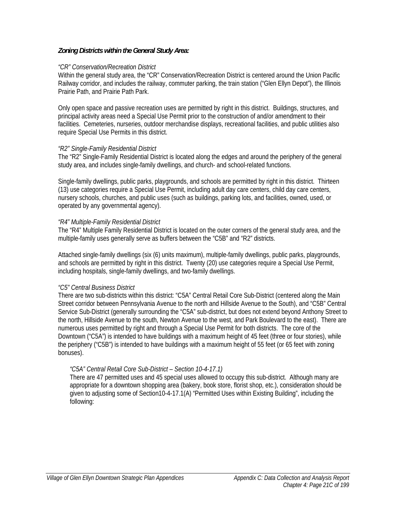## *Zoning Districts within the General Study Area:*

#### *"CR" Conservation/Recreation District*

Within the general study area, the "CR" Conservation/Recreation District is centered around the Union Pacific Railway corridor, and includes the railway, commuter parking, the train station ("Glen Ellyn Depot"), the Illinois Prairie Path, and Prairie Path Park.

Only open space and passive recreation uses are permitted by right in this district. Buildings, structures, and principal activity areas need a Special Use Permit prior to the construction of and/or amendment to their facilities. Cemeteries, nurseries, outdoor merchandise displays, recreational facilities, and public utilities also require Special Use Permits in this district.

#### *"R2" Single-Family Residential District*

The "R2" Single-Family Residential District is located along the edges and around the periphery of the general study area, and includes single-family dwellings, and church- and school-related functions.

Single-family dwellings, public parks, playgrounds, and schools are permitted by right in this district. Thirteen (13) use categories require a Special Use Permit, including adult day care centers, child day care centers, nursery schools, churches, and public uses (such as buildings, parking lots, and facilities, owned, used, or operated by any governmental agency).

#### *"R4" Multiple-Family Residential District*

The "R4" Multiple Family Residential District is located on the outer corners of the general study area, and the multiple-family uses generally serve as buffers between the "C5B" and "R2" districts.

Attached single-family dwellings (six (6) units maximum), multiple-family dwellings, public parks, playgrounds, and schools are permitted by right in this district. Twenty (20) use categories require a Special Use Permit, including hospitals, single-family dwellings, and two-family dwellings.

#### *"C5" Central Business District*

There are two sub-districts within this district: "C5A" Central Retail Core Sub-District (centered along the Main Street corridor between Pennsylvania Avenue to the north and Hillside Avenue to the South), and "C5B" Central Service Sub-District (generally surrounding the "C5A" sub-district, but does not extend beyond Anthony Street to the north, Hillside Avenue to the south, Newton Avenue to the west, and Park Boulevard to the east). There are numerous uses permitted by right and through a Special Use Permit for both districts. The core of the Downtown ("C5A") is intended to have buildings with a maximum height of 45 feet (three or four stories), while the periphery ("C5B") is intended to have buildings with a maximum height of 55 feet (or 65 feet with zoning bonuses).

#### *"C5A" Central Retail Core Sub-District – Section 10-4-17.1)*

There are 47 permitted uses and 45 special uses allowed to occupy this sub-district. Although many are appropriate for a downtown shopping area (bakery, book store, florist shop, etc.), consideration should be given to adjusting some of Section10-4-17.1(A) "Permitted Uses within Existing Building", including the following: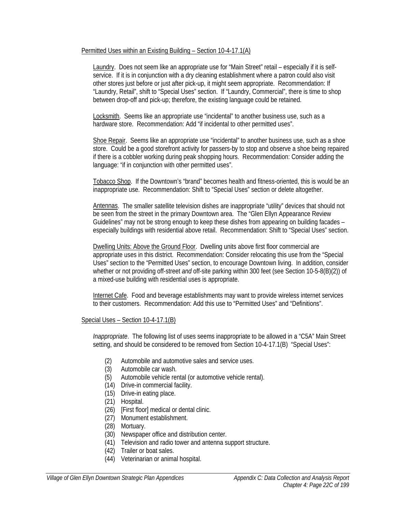#### Permitted Uses within an Existing Building – Section 10-4-17.1(A)

Laundry. Does not seem like an appropriate use for "Main Street" retail – especially if it is selfservice. If it is in conjunction with a dry cleaning establishment where a patron could also visit other stores just before or just after pick-up, it might seem appropriate. Recommendation: If "Laundry, Retail", shift to "Special Uses" section. If "Laundry, Commercial", there is time to shop between drop-off and pick-up; therefore, the existing language could be retained.

Locksmith. Seems like an appropriate use "incidental" to another business use, such as a hardware store. Recommendation: Add "if incidental to other permitted uses".

Shoe Repair. Seems like an appropriate use "incidental" to another business use, such as a shoe store. Could be a good storefront activity for passers-by to stop and observe a shoe being repaired if there is a cobbler working during peak shopping hours. Recommendation: Consider adding the language: "if in conjunction with other permitted uses".

Tobacco Shop. If the Downtown's "brand" becomes health and fitness-oriented, this is would be an inappropriate use. Recommendation: Shift to "Special Uses" section or delete altogether.

Antennas. The smaller satellite television dishes are inappropriate "utility" devices that should not be seen from the street in the primary Downtown area. The "Glen Ellyn Appearance Review Guidelines" may not be strong enough to keep these dishes from appearing on building facades – especially buildings with residential above retail. Recommendation: Shift to "Special Uses" section.

Dwelling Units: Above the Ground Floor. Dwelling units above first floor commercial are appropriate uses in this district. Recommendation: Consider relocating this use from the "Special Uses" section to the "Permitted Uses" section, to encourage Downtown living. In addition, consider whether or not providing off-street *and* off-site parking within 300 feet (see Section 10-5-8(B)(2)) of a mixed-use building with residential uses is appropriate.

Internet Cafe. Food and beverage establishments may want to provide wireless internet services to their customers. Recommendation: Add this use to "Permitted Uses" and "Definitions".

#### Special Uses – Section 10-4-17.1(B)

*Inappropriate*. The following list of uses seems inappropriate to be allowed in a "C5A" Main Street setting, and should be considered to be removed from Section 10-4-17.1(B) "Special Uses":

- (2) Automobile and automotive sales and service uses.
- (3) Automobile car wash.
- (5) Automobile vehicle rental (or automotive vehicle rental).
- (14) Drive-in commercial facility.
- (15) Drive-in eating place.
- (21) Hospital.
- (26) [First floor] medical or dental clinic.
- (27) Monument establishment.
- (28) Mortuary.
- (30) Newspaper office and distribution center.
- (41) Television and radio tower and antenna support structure.
- (42) Trailer or boat sales.
- (44) Veterinarian or animal hospital.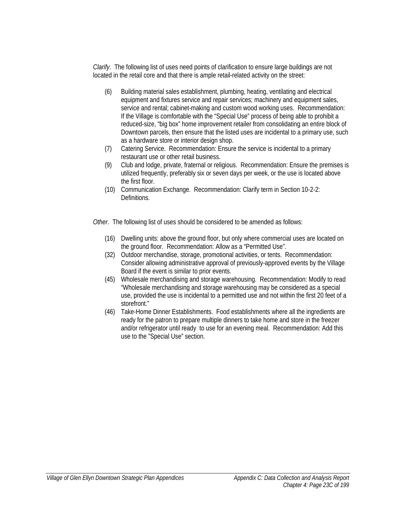*Clarify*. The following list of uses need points of clarification to ensure large buildings are not located in the retail core and that there is ample retail-related activity on the street:

- (6) Building material sales establishment, plumbing, heating, ventilating and electrical equipment and fixtures service and repair services; machinery and equipment sales, service and rental; cabinet-making and custom wood working uses. Recommendation: If the Village is comfortable with the "Special Use" process of being able to prohibit a reduced-size, "big box" home improvement retailer from consolidating an entire block of Downtown parcels, then ensure that the listed uses are incidental to a primary use, such as a hardware store or interior design shop.
- (7) Catering Service. Recommendation: Ensure the service is incidental to a primary restaurant use or other retail business.
- (9) Club and lodge, private, fraternal or religious. Recommendation: Ensure the premises is utilized frequently, preferably six or seven days per week, or the use is located above the first floor.
- (10) Communication Exchange. Recommendation: Clarify term in Section 10-2-2: Definitions.

*Other*. The following list of uses should be considered to be amended as follows:

- (16) Dwelling units: above the ground floor, but only where commercial uses are located on the ground floor. Recommendation: Allow as a "Permitted Use".
- (32) Outdoor merchandise, storage, promotional activities, or tents. Recommendation: Consider allowing administrative approval of previously-approved events by the Village Board if the event is similar to prior events.
- (45) Wholesale merchandising and storage warehousing. Recommendation: Modify to read "Wholesale merchandising and storage warehousing may be considered as a special use, provided the use is incidental to a permitted use and not within the first 20 feet of a storefront."
- (46) Take-Home Dinner Establishments. Food establishments where all the ingredients are ready for the patron to prepare multiple dinners to take home and store in the freezer and/or refrigerator until ready to use for an evening meal. Recommendation: Add this use to the "Special Use" section.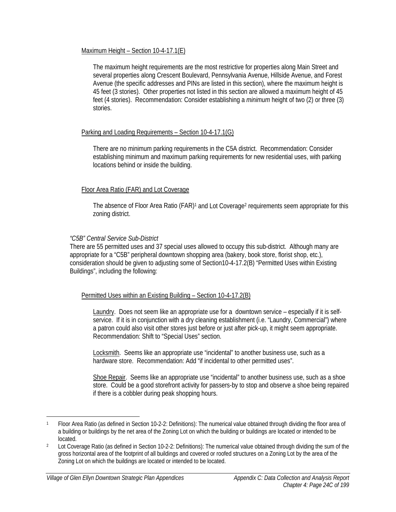## Maximum Height – Section 10-4-17.1(E)

The maximum height requirements are the most restrictive for properties along Main Street and several properties along Crescent Boulevard, Pennsylvania Avenue, Hillside Avenue, and Forest Avenue (the specific addresses and PINs are listed in this section), where the maximum height is 45 feet (3 stories). Other properties not listed in this section are allowed a maximum height of 45 feet (4 stories). Recommendation: Consider establishing a *minimum* height of two (2) or three (3) stories.

## Parking and Loading Requirements – Section 10-4-17.1(G)

There are no minimum parking requirements in the C5A district. Recommendation: Consider establishing minimum and maximum parking requirements for new residential uses, with parking locations behind or inside the building.

# Floor Area Ratio (FAR) and Lot Coverage

The absence of Floor Area Ratio (FAR)<sup>1</sup> and Lot Coverage<sup>2</sup> requirements seem appropriate for this zoning district.

## *"C5B" Central Service Sub-District*

There are 55 permitted uses and 37 special uses allowed to occupy this sub-district. Although many are appropriate for a "C5B" peripheral downtown shopping area (bakery, book store, florist shop, etc.), consideration should be given to adjusting some of Section10-4-17.2(B) "Permitted Uses within Existing Buildings", including the following:

#### Permitted Uses within an Existing Building – Section 10-4-17.2(B)

Laundry. Does not seem like an appropriate use for a downtown service – especially if it is selfservice. If it is in conjunction with a dry cleaning establishment (i.e. "Laundry, Commercial") where a patron could also visit other stores just before or just after pick-up, it might seem appropriate. Recommendation: Shift to "Special Uses" section.

Locksmith. Seems like an appropriate use "incidental" to another business use, such as a hardware store. Recommendation: Add "if incidental to other permitted uses".

Shoe Repair. Seems like an appropriate use "incidental" to another business use, such as a shoe store. Could be a good storefront activity for passers-by to stop and observe a shoe being repaired if there is a cobbler during peak shopping hours.

 $\overline{a}$ 

<sup>1</sup> Floor Area Ratio (as defined in Section 10-2-2: Definitions): The numerical value obtained through dividing the floor area of a building or buildings by the net area of the Zoning Lot on which the building or buildings are located or intended to be located.

<sup>2</sup> Lot Coverage Ratio (as defined in Section 10-2-2: Definitions): The numerical value obtained through dividing the sum of the gross horizontal area of the footprint of all buildings and covered or roofed structures on a Zoning Lot by the area of the Zoning Lot on which the buildings are located or intended to be located.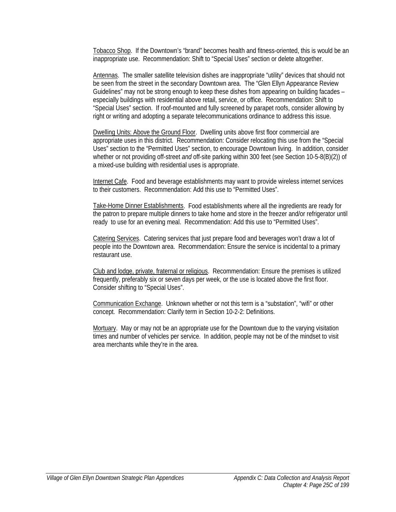Tobacco Shop. If the Downtown's "brand" becomes health and fitness-oriented, this is would be an inappropriate use. Recommendation: Shift to "Special Uses" section or delete altogether.

Antennas. The smaller satellite television dishes are inappropriate "utility" devices that should not be seen from the street in the secondary Downtown area. The "Glen Ellyn Appearance Review Guidelines" may not be strong enough to keep these dishes from appearing on building facades – especially buildings with residential above retail, service, or office. Recommendation: Shift to "Special Uses" section. If roof-mounted and fully screened by parapet roofs, consider allowing by right or writing and adopting a separate telecommunications ordinance to address this issue.

Dwelling Units: Above the Ground Floor. Dwelling units above first floor commercial are appropriate uses in this district. Recommendation: Consider relocating this use from the "Special Uses" section to the "Permitted Uses" section, to encourage Downtown living. In addition, consider whether or not providing off-street *and* off-site parking within 300 feet (see Section 10-5-8(B)(2)) of a mixed-use building with residential uses is appropriate.

Internet Cafe. Food and beverage establishments may want to provide wireless internet services to their customers. Recommendation: Add this use to "Permitted Uses".

Take-Home Dinner Establishments. Food establishments where all the ingredients are ready for the patron to prepare multiple dinners to take home and store in the freezer and/or refrigerator until ready to use for an evening meal. Recommendation: Add this use to "Permitted Uses".

Catering Services. Catering services that just prepare food and beverages won't draw a lot of people into the Downtown area. Recommendation: Ensure the service is incidental to a primary restaurant use.

Club and lodge, private, fraternal or religious. Recommendation: Ensure the premises is utilized frequently, preferably six or seven days per week, or the use is located above the first floor. Consider shifting to "Special Uses".

Communication Exchange. Unknown whether or not this term is a "substation", "wifi" or other concept. Recommendation: Clarify term in Section 10-2-2: Definitions.

Mortuary. May or may not be an appropriate use for the Downtown due to the varying visitation times and number of vehicles per service. In addition, people may not be of the mindset to visit area merchants while they're in the area.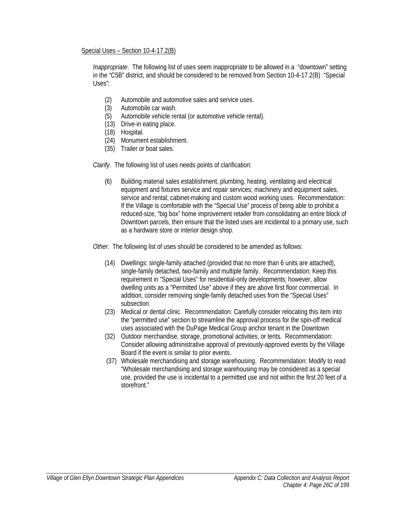#### Special Uses – Section 10-4-17.2(B)

*Inappropriate*. The following list of uses seem inappropriate to be allowed in a "downtown" setting in the "C5B" district, and should be considered to be removed from Section 10-4-17.2(B) "Special Uses":

- (2) Automobile and automotive sales and service uses.
- (3) Automobile car wash.
- (5) Automobile vehicle rental (or automotive vehicle rental).
- (13) Drive-in eating place.
- (18) Hospital.
- (24) Monument establishment.
- (35) Trailer or boat sales.

*Clarify*. The following list of uses needs points of clarification:

(6) Building material sales establishment, plumbing, heating, ventilating and electrical equipment and fixtures service and repair services; machinery and equipment sales, service and rental; cabinet-making and custom wood working uses. Recommendation: If the Village is comfortable with the "Special Use" process of being able to prohibit a reduced-size, "big box" home improvement retailer from consolidating an entire block of Downtown parcels, then ensure that the listed uses are incidental to a primary use, such as a hardware store or interior design shop.

*Other*. The following list of uses should be considered to be amended as follows:

- (14) Dwellings: single-family attached (provided that no more than 6 units are attached), single-family detached, two-family and multiple family. Recommendation: Keep this requirement in "Special Uses" for residential-only developments; however, allow dwelling units as a "Permitted Use" above if they are above first floor commercial. In addition, consider removing single-family detached uses from the "Special Uses" subsection.
- (23) Medical or dental clinic. Recommendation: Carefully consider relocating this item into the "permitted use" section to streamline the approval process for the spin-off medical uses associated with the DuPage Medical Group anchor tenant in the Downtown
- (32) Outdoor merchandise, storage, promotional activities, or tents. Recommendation: Consider allowing administrative approval of previously-approved events by the Village Board if the event is similar to prior events.
- (37) Wholesale merchandising and storage warehousing. Recommendation: Modify to read "Wholesale merchandising and storage warehousing may be considered as a special use, provided the use is incidental to a permitted use and not within the first 20 feet of a storefront."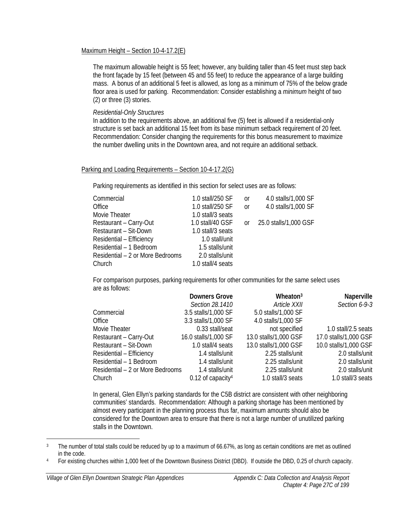#### Maximum Height – Section 10-4-17.2(E)

The maximum allowable height is 55 feet; however, any building taller than 45 feet must step back the front façade by 15 feet (between 45 and 55 feet) to reduce the appearance of a large building mass. A bonus of an additional 5 feet is allowed, as long as a minimum of 75% of the below grade floor area is used for parking. Recommendation: Consider establishing a *minimum* height of two (2) or three (3) stories.

*Residential-Only Structures* 

In addition to the requirements above, an additional five (5) feet is allowed if a residential-only structure is set back an additional 15 feet from its base minimum setback requirement of 20 feet. Recommendation: Consider changing the requirements for this bonus measurement to maximize the number dwelling units in the Downtown area, and not require an additional setback.

#### Parking and Loading Requirements – Section 10-4-17.2(G)

Parking requirements as identified in this section for select uses are as follows:

| Commercial                       | 1.0 stall/250 SF  | <sub>O</sub> r | 4.0 stalls/1,000 SF   |
|----------------------------------|-------------------|----------------|-----------------------|
| Office                           | 1.0 stall/250 SF  | or             | 4.0 stalls/1,000 SF   |
| Movie Theater                    | 1.0 stall/3 seats |                |                       |
| Restaurant - Carry-Out           | 1.0 stall/40 GSF  | $\alpha$       | 25.0 stalls/1,000 GSF |
| Restaurant - Sit-Down            | 1.0 stall/3 seats |                |                       |
| Residential - Efficiency         | 1.0 stall/unit    |                |                       |
| Residential - 1 Bedroom          | 1.5 stalls/unit   |                |                       |
| Residential – 2 or More Bedrooms | 2.0 stalls/unit   |                |                       |
| Church                           | 1.0 stall/4 seats |                |                       |

For comparison purposes, parking requirements for other communities for the same select uses are as follows:

|                                  | <b>Downers Grove</b>            | Wheaton <sup>3</sup>  | Naperville            |
|----------------------------------|---------------------------------|-----------------------|-----------------------|
|                                  | Section 28.1410                 | Article XXII          | Section 6-9-3         |
| Commercial                       | 3.5 stalls/1,000 SF             | 5.0 stalls/1,000 SF   |                       |
| Office                           | 3.3 stalls/1,000 SF             | 4.0 stalls/1,000 SF   |                       |
| Movie Theater                    | 0.33 stall/seat                 | not specified         | 1.0 stall/2.5 seats   |
| Restaurant - Carry-Out           | 16.0 stalls/1,000 SF            | 13.0 stalls/1,000 GSF | 17.0 stalls/1,000 GSF |
| Restaurant - Sit-Down            | 1.0 stall/4 seats               | 13.0 stalls/1,000 GSF | 10.0 stalls/1,000 GSF |
| Residential - Efficiency         | 1.4 stalls/unit                 | 2.25 stalls/unit      | 2.0 stalls/unit       |
| Residential - 1 Bedroom          | 1.4 stalls/unit                 | 2.25 stalls/unit      | 2.0 stalls/unit       |
| Residential – 2 or More Bedrooms | 1.4 stalls/unit                 | 2.25 stalls/unit      | 2.0 stalls/unit       |
| Church                           | $0.12$ of capacity <sup>4</sup> | 1.0 stall/3 seats     | 1.0 stall/3 seats     |

In general, Glen Ellyn's parking standards for the C5B district are consistent with other neighboring communities' standards. Recommendation: Although a parking shortage has been mentioned by almost every participant in the planning process thus far, maximum amounts should also be considered for the Downtown area to ensure that there is not a large number of unutilized parking stalls in the Downtown.

 $\overline{a}$ 

<sup>&</sup>lt;sup>3</sup> The number of total stalls could be reduced by up to a maximum of 66.67%, as long as certain conditions are met as outlined in the code.

<sup>4</sup> For existing churches within 1,000 feet of the Downtown Business District (DBD). If outside the DBD, 0.25 of church capacity.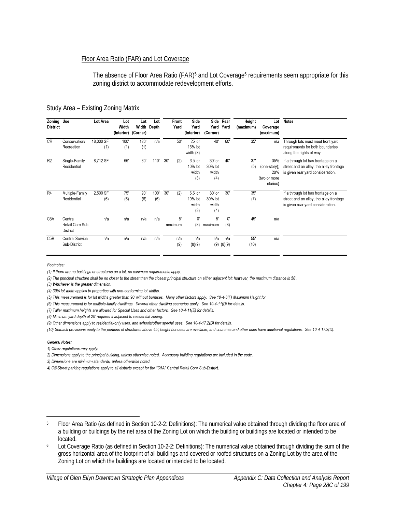#### Floor Area Ratio (FAR) and Lot Coverage

The absence of Floor Area Ratio (FAR)<sup>5</sup> and Lot Coverage<sup>6</sup> requirements seem appropriate for this zoning district to accommodate redevelopment efforts.

| Study Area - Existing Zoning Matrix |  |  |
|-------------------------------------|--|--|
|                                     |  |  |

| Zoning Use<br><b>District</b> |                                         | Lot Area         | Lot<br>Width<br>(Interior) (Corner) | Lot         | Lot<br>Width Depth | Front<br>Yard | Side<br>Yard<br>(Interior)         | Yard<br>(Corner)                  | Side Rear<br>Yard  | Height<br>(maximum) | Lot<br>Coverage<br>(maximum)                           | <b>Notes</b>                                                                                                       |
|-------------------------------|-----------------------------------------|------------------|-------------------------------------|-------------|--------------------|---------------|------------------------------------|-----------------------------------|--------------------|---------------------|--------------------------------------------------------|--------------------------------------------------------------------------------------------------------------------|
| <b>CR</b>                     | Conservation/<br>Recreation             | 18,000 SF<br>(1) | 100'<br>(1)                         | 120'<br>(1) | n/a                | 50'           | 25' or<br>15% lot<br>width (3)     | 40'                               | 60'                | 35'                 | n/a                                                    | Through lots must meet front yard<br>requirements for both boundaries<br>along the rights-of-way.                  |
| R <sub>2</sub>                | Single-Family<br>Residential            | 8,712 SF         | 66'                                 | 80'         | 110                | 30'<br>(2)    | 6.5' or<br>10% lot<br>width<br>(3) | 30' or<br>30% lot<br>width<br>(4) | 40'                | 37'<br>(5)          | 35%<br>(one-story);<br>20%<br>(two or more<br>stories) | If a through lot has frontage on a<br>street and an alley, the alley frontage<br>is given rear yard consideration. |
| R4                            | Multiple-Family<br>Residential          | 2,500 SF<br>(6)  | 75'<br>(6)                          | 90'<br>(6)  | 100'<br>(6)        | 30'<br>(2)    | 6.6' or<br>10% lot<br>width<br>(3) | 30' or<br>30% lot<br>width<br>(4) | 30'                | 35'<br>(7)          |                                                        | If a through lot has frontage on a<br>street and an alley, the alley frontage<br>is given rear yard consideration. |
| C <sub>5</sub> A              | Central<br>Retail Core Sub-<br>District | n/a              | n/a                                 | n/a         | n/a                | 5'<br>maximum | $0^{\prime}$<br>(8)                | 5'<br>maximum                     | $0^{\circ}$<br>(8) | 45'                 | n/a                                                    |                                                                                                                    |
| C <sub>5</sub> B              | <b>Central Service</b><br>Sub-District  | n/a              | n/a                                 | n/a         | n/a                | n/a<br>(9)    | n/a<br>(8)(9)                      | n/a<br>(9)                        | n/a<br>(8)(9)      | 55'<br>(10)         | n/a                                                    |                                                                                                                    |

Footnotes:

(1) If there are no buildings or structures on a lot, no minimum requirements apply.

(2) The principal structure shall be no closer to the street than the closest principal structure on either adjacent lot; however, the maximum distance is 50'.

(3) Whichever is the greater dimension.

(4) 30% lot width applies to properties with non-conforming lot widths.

(5) This measurement is for lot widths greater than 90' without bonuses. Many other factors apply. See 10-4-8(F) Maximum Height for

(6) This measurement is for multiple-family dwellings. Several other dwelling scenarios apply. See 10-4-11(D) for details.

(7) Taller maximum heights are allowed for Special Uses and other factors. See 10-4-11(E) for details.

(8) Minimum yard depth of 20' required if adjacent to residential zoning.

(9) Other dimensions apply to residential-only uses, and schools/other special uses. See 10-4-17.2(D) for details.

(10) Setback provisions apply to the portions of structures above 45'; height bonuses are available; and churches and other uses have additional regulations. See 10-4-17.2(D).

General Notes:

 $\overline{a}$ 

1) Other regulations may apply.

2) Dimensions apply to the principal building, unless otherwise noted. Accessory building regulations are included in the code.

3) Dimensions are minimum standards, unless otherwise noted.

4) Off-Street parking regulations apply to all districts except for the "C5A" Central Retail Core Sub-District.

<sup>5</sup> Floor Area Ratio (as defined in Section 10-2-2: Definitions): The numerical value obtained through dividing the floor area of a building or buildings by the net area of the Zoning Lot on which the building or buildings are located or intended to be located.

<sup>6</sup> Lot Coverage Ratio (as defined in Section 10-2-2: Definitions): The numerical value obtained through dividing the sum of the gross horizontal area of the footprint of all buildings and covered or roofed structures on a Zoning Lot by the area of the Zoning Lot on which the buildings are located or intended to be located.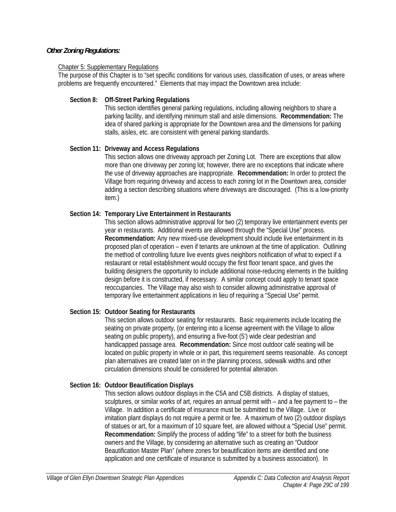#### *Other Zoning Regulations:*

#### Chapter 5: Supplementary Regulations

The purpose of this Chapter is to "set specific conditions for various uses, classification of uses, or areas where problems are frequently encountered." Elements that may impact the Downtown area include:

#### **Section 8: Off-Street Parking Regulations**

This section identifies general parking regulations, including allowing neighbors to share a parking facility, and identifying minimum stall and aisle dimensions. **Recommendation:** The idea of shared parking is appropriate for the Downtown area and the dimensions for parking stalls, aisles, etc. are consistent with general parking standards.

#### **Section 11: Driveway and Access Regulations**

This section allows one driveway approach per Zoning Lot. There are exceptions that allow more than one driveway per zoning lot; however, there are no exceptions that indicate where the use of driveway approaches are inappropriate. **Recommendation:** In order to protect the Village from requiring driveway and access to each zoning lot in the Downtown area, consider adding a section describing situations where driveways are discouraged. (This is a low-priority item.)

## **Section 14: Temporary Live Entertainment in Restaurants**

This section allows administrative approval for two (2) temporary live entertainment events per year in restaurants. Additional events are allowed through the "Special Use" process. **Recommendation:** Any new mixed-use development should include live entertainment in its proposed plan of operation – even if tenants are unknown at the time of application. Outlining the method of controlling future live events gives neighbors notification of what to expect if a restaurant or retail establishment would occupy the first floor tenant space, and gives the building designers the opportunity to include additional noise-reducing elements in the building design before it is constructed, if necessary. A similar concept could apply to tenant space reoccupancies. The Village may also wish to consider allowing administrative approval of temporary live entertainment applications in lieu of requiring a "Special Use" permit.

# **Section 15: Outdoor Seating for Restaurants**

This section allows outdoor seating for restaurants. Basic requirements include locating the seating on private property, (or entering into a license agreement with the Village to allow seating on public property), and ensuring a five-foot (5') wide clear pedestrian and handicapped passage area. **Recommendation:** Since most outdoor café seating will be located on public property in whole or in part, this requirement seems reasonable. As concept plan alternatives are created later on in the planning process, sidewalk widths and other circulation dimensions should be considered for potential alteration.

#### **Section 16: Outdoor Beautification Displays**

This section allows outdoor displays in the C5A and C5B districts. A display of statues, sculptures, or similar works of art, requires an annual permit with – and a fee payment to – the Village. In addition a certificate of insurance must be submitted to the Village. Live or imitation plant displays do not require a permit or fee. A maximum of two (2) outdoor displays of statues or art, for a maximum of 10 square feet, are allowed without a "Special Use" permit. **Recommendation:** Simplify the process of adding "life" to a street for both the business owners and the Village, by considering an alternative such as creating an "Outdoor Beautification Master Plan" (where zones for beautification items are identified and one application and one certificate of insurance is submitted by a business association). In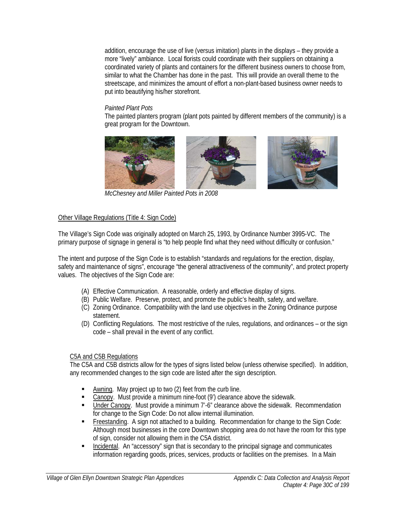addition, encourage the use of live (versus imitation) plants in the displays – they provide a more "lively" ambiance. Local florists could coordinate with their suppliers on obtaining a coordinated variety of plants and containers for the different business owners to choose from, similar to what the Chamber has done in the past. This will provide an overall theme to the streetscape, and minimizes the amount of effort a non-plant-based business owner needs to put into beautifying his/her storefront.

#### *Painted Plant Pots*

The painted planters program (plant pots painted by different members of the community) is a great program for the Downtown.





*McChesney and Miller Painted Pots in 2008* 

## Other Village Regulations (Title 4: Sign Code)

The Village's Sign Code was originally adopted on March 25, 1993, by Ordinance Number 3995-VC. The primary purpose of signage in general is "to help people find what they need without difficulty or confusion."

The intent and purpose of the Sign Code is to establish "standards and regulations for the erection, display, safety and maintenance of signs", encourage "the general attractiveness of the community", and protect property values. The objectives of the Sign Code are:

- (A) Effective Communication. A reasonable, orderly and effective display of signs.
- (B) Public Welfare. Preserve, protect, and promote the public's health, safety, and welfare.
- (C) Zoning Ordinance. Compatibility with the land use objectives in the Zoning Ordinance purpose statement.
- (D) Conflicting Regulations. The most restrictive of the rules, regulations, and ordinances or the sign code – shall prevail in the event of any conflict.

# C5A and C5B Regulations

The C5A and C5B districts allow for the types of signs listed below (unless otherwise specified). In addition, any recommended changes to the sign code are listed after the sign description.

- Awning. May project up to two (2) feet from the curb line.
- Canopy. Must provide a minimum nine-foot (9') clearance above the sidewalk.
- **Under Canopy.** Must provide a minimum 7'-6" clearance above the sidewalk. Recommendation for change to the Sign Code: Do not allow internal illumination.
- Freestanding. A sign not attached to a building. Recommendation for change to the Sign Code: Although most businesses in the core Downtown shopping area do not have the room for this type of sign, consider not allowing them in the C5A district.
- **Incidental.** An "accessory" sign that is secondary to the principal signage and communicates information regarding goods, prices, services, products or facilities on the premises. In a Main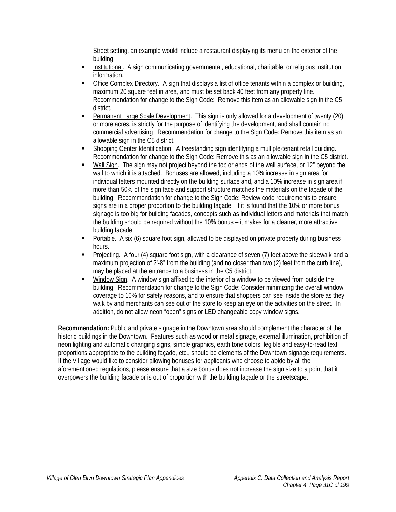Street setting, an example would include a restaurant displaying its menu on the exterior of the building.

- Institutional. A sign communicating governmental, educational, charitable, or religious institution information.
- Office Complex Directory. A sign that displays a list of office tenants within a complex or building, maximum 20 square feet in area, and must be set back 40 feet from any property line. Recommendation for change to the Sign Code: Remove this item as an allowable sign in the C5 district.
- Permanent Large Scale Development. This sign is only allowed for a development of twenty (20) or more acres, is strictly for the purpose of identifying the development, and shall contain no commercial advertising Recommendation for change to the Sign Code: Remove this item as an allowable sign in the C5 district.
- Shopping Center Identification. A freestanding sign identifying a multiple-tenant retail building. Recommendation for change to the Sign Code: Remove this as an allowable sign in the C5 district.
- Wall Sign. The sign may not project beyond the top or ends of the wall surface, or 12" beyond the wall to which it is attached. Bonuses are allowed, including a 10% increase in sign area for individual letters mounted directly on the building surface and, and a 10% increase in sign area if more than 50% of the sign face and support structure matches the materials on the facade of the building. Recommendation for change to the Sign Code: Review code requirements to ensure signs are in a proper proportion to the building façade. If it is found that the 10% or more bonus signage is too big for building facades, concepts such as individual letters and materials that match the building should be required without the 10% bonus – it makes for a cleaner, more attractive building facade.
- Portable. A six (6) square foot sign, allowed to be displayed on private property during business hours.
- Projecting. A four (4) square foot sign, with a clearance of seven (7) feet above the sidewalk and a maximum projection of 2'-8" from the building (and no closer than two (2) feet from the curb line), may be placed at the entrance to a business in the C5 district.
- Window Sign. A window sign affixed to the interior of a window to be viewed from outside the building. Recommendation for change to the Sign Code: Consider minimizing the overall window coverage to 10% for safety reasons, and to ensure that shoppers can see inside the store as they walk by and merchants can see out of the store to keep an eye on the activities on the street. In addition, do not allow neon "open" signs or LED changeable copy window signs.

**Recommendation:** Public and private signage in the Downtown area should complement the character of the historic buildings in the Downtown. Features such as wood or metal signage, external illumination, prohibition of neon lighting and automatic changing signs, simple graphics, earth tone colors, legible and easy-to-read text, proportions appropriate to the building façade, etc., should be elements of the Downtown signage requirements. If the Village would like to consider allowing bonuses for applicants who choose to abide by all the aforementioned regulations, please ensure that a size bonus does not increase the sign size to a point that it overpowers the building façade or is out of proportion with the building façade or the streetscape.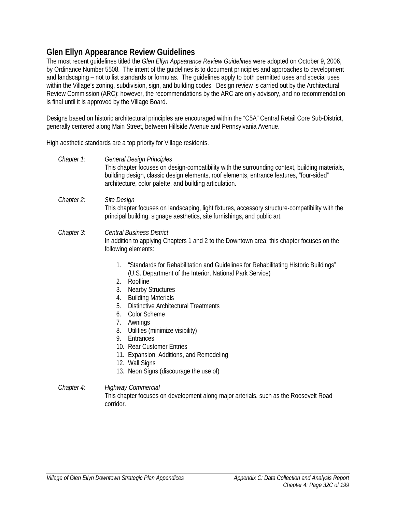# **Glen Ellyn Appearance Review Guidelines**

The most recent guidelines titled the *Glen Ellyn Appearance Review Guidelines* were adopted on October 9, 2006, by Ordinance Number 5508. The intent of the guidelines is to document principles and approaches to development and landscaping – not to list standards or formulas. The guidelines apply to both permitted uses and special uses within the Village's zoning, subdivision, sign, and building codes. Design review is carried out by the Architectural Review Commission (ARC); however, the recommendations by the ARC are only advisory, and no recommendation is final until it is approved by the Village Board.

Designs based on historic architectural principles are encouraged within the "C5A" Central Retail Core Sub-District, generally centered along Main Street, between Hillside Avenue and Pennsylvania Avenue.

High aesthetic standards are a top priority for Village residents.

| Chapter 1: | <b>General Design Principles</b><br>This chapter focuses on design-compatibility with the surrounding context, building materials,<br>building design, classic design elements, roof elements, entrance features, "four-sided"<br>architecture, color palette, and building articulation.                                                                                                                             |  |  |  |  |  |  |
|------------|-----------------------------------------------------------------------------------------------------------------------------------------------------------------------------------------------------------------------------------------------------------------------------------------------------------------------------------------------------------------------------------------------------------------------|--|--|--|--|--|--|
| Chapter 2: | Site Design<br>This chapter focuses on landscaping, light fixtures, accessory structure-compatibility with the<br>principal building, signage aesthetics, site furnishings, and public art.                                                                                                                                                                                                                           |  |  |  |  |  |  |
| Chapter 3: | <b>Central Business District</b><br>In addition to applying Chapters 1 and 2 to the Downtown area, this chapter focuses on the<br>following elements:                                                                                                                                                                                                                                                                 |  |  |  |  |  |  |
|            | "Standards for Rehabilitation and Guidelines for Rehabilitating Historic Buildings"<br>1.<br>(U.S. Department of the Interior, National Park Service)<br>Roofline<br>2.<br><b>Nearby Structures</b><br>3.<br><b>Building Materials</b><br>4.<br>5.<br><b>Distinctive Architectural Treatments</b><br><b>Color Scheme</b><br>6.<br>7.<br>Awnings<br>8.<br>Utilities (minimize visibility)<br>Entrances<br>$\mathbf{u}$ |  |  |  |  |  |  |

- 9. Entrances
- 10. Rear Customer Entries
- 11. Expansion, Additions, and Remodeling
- 12. Wall Signs
- 13. Neon Signs (discourage the use of)
- *Chapter 4: Highway Commercial*  This chapter focuses on development along major arterials, such as the Roosevelt Road corridor.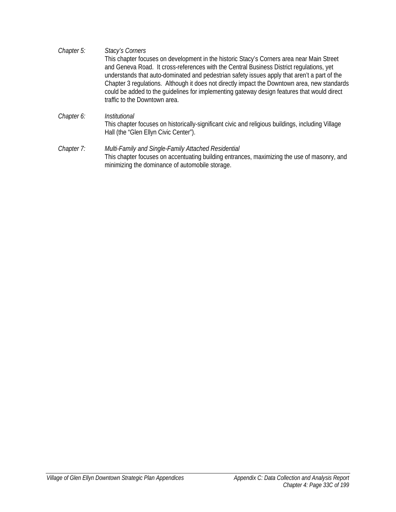- *Chapter 5: Stacy's Corners*  This chapter focuses on development in the historic Stacy's Corners area near Main Street and Geneva Road. It cross-references with the Central Business District regulations, yet understands that auto-dominated and pedestrian safety issues apply that aren't a part of the Chapter 3 regulations. Although it does not directly impact the Downtown area, new standards could be added to the guidelines for implementing gateway design features that would direct traffic to the Downtown area.
- *Chapter 6: Institutional*  This chapter focuses on historically-significant civic and religious buildings, including Village Hall (the "Glen Ellyn Civic Center").
- *Chapter 7: Multi-Family and Single-Family Attached Residential*  This chapter focuses on accentuating building entrances, maximizing the use of masonry, and minimizing the dominance of automobile storage.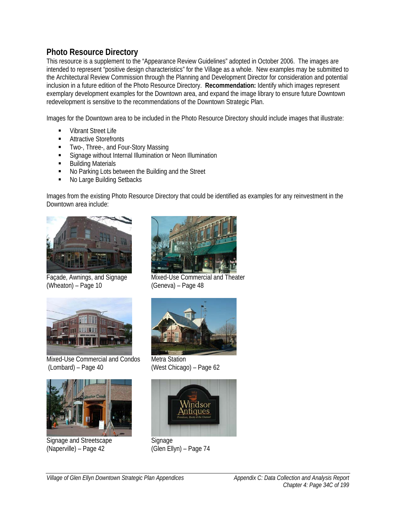# **Photo Resource Directory**

This resource is a supplement to the "Appearance Review Guidelines" adopted in October 2006. The images are intended to represent "positive design characteristics" for the Village as a whole. New examples may be submitted to the Architectural Review Commission through the Planning and Development Director for consideration and potential inclusion in a future edition of the Photo Resource Directory. **Recommendation:** Identify which images represent exemplary development examples for the Downtown area, and expand the image library to ensure future Downtown redevelopment is sensitive to the recommendations of the Downtown Strategic Plan.

Images for the Downtown area to be included in the Photo Resource Directory should include images that illustrate:

- Vibrant Street Life
- Attractive Storefronts
- **TWO-, Three-, and Four-Story Massing**
- **Signage without Internal Illumination or Neon Illumination**
- **Building Materials**
- No Parking Lots between the Building and the Street
- No Large Building Setbacks

Images from the existing Photo Resource Directory that could be identified as examples for any reinvestment in the Downtown area include:



(Wheaton) – Page 10 (Geneva) – Page 48



Mixed-Use Commercial and Condos Metra Station (Lombard) – Page 40 (West Chicago) – Page 62



Signage and Streetscape Signage<br>
(Naperville) – Page 42 (Glen Ell



Façade, Awnings, and Signage Mixed-Use Commercial and Theater





(Glen Ellyn) – Page 74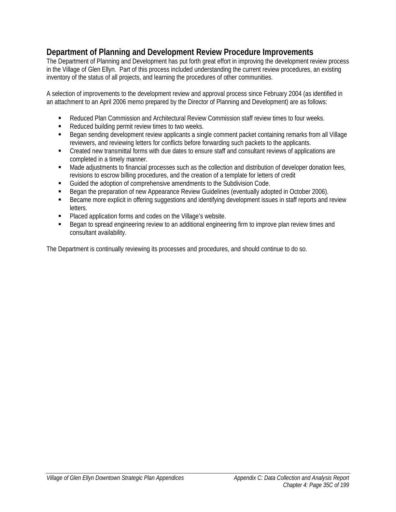# **Department of Planning and Development Review Procedure Improvements**

The Department of Planning and Development has put forth great effort in improving the development review process in the Village of Glen Ellyn. Part of this process included understanding the current review procedures, an existing inventory of the status of all projects, and learning the procedures of other communities.

A selection of improvements to the development review and approval process since February 2004 (as identified in an attachment to an April 2006 memo prepared by the Director of Planning and Development) are as follows:

- Reduced Plan Commission and Architectural Review Commission staff review times to four weeks.
- Reduced building permit review times to two weeks.
- **Began sending development review applicants a single comment packet containing remarks from all Village** reviewers, and reviewing letters for conflicts before forwarding such packets to the applicants.
- Created new transmittal forms with due dates to ensure staff and consultant reviews of applications are completed in a timely manner.
- Made adjustments to financial processes such as the collection and distribution of developer donation fees, revisions to escrow billing procedures, and the creation of a template for letters of credit
- Guided the adoption of comprehensive amendments to the Subdivision Code.
- Began the preparation of new Appearance Review Guidelines (eventually adopted in October 2006).
- **Became more explicit in offering suggestions and identifying development issues in staff reports and review** letters.
- **Placed application forms and codes on the Village's website.**
- Began to spread engineering review to an additional engineering firm to improve plan review times and consultant availability.

The Department is continually reviewing its processes and procedures, and should continue to do so.